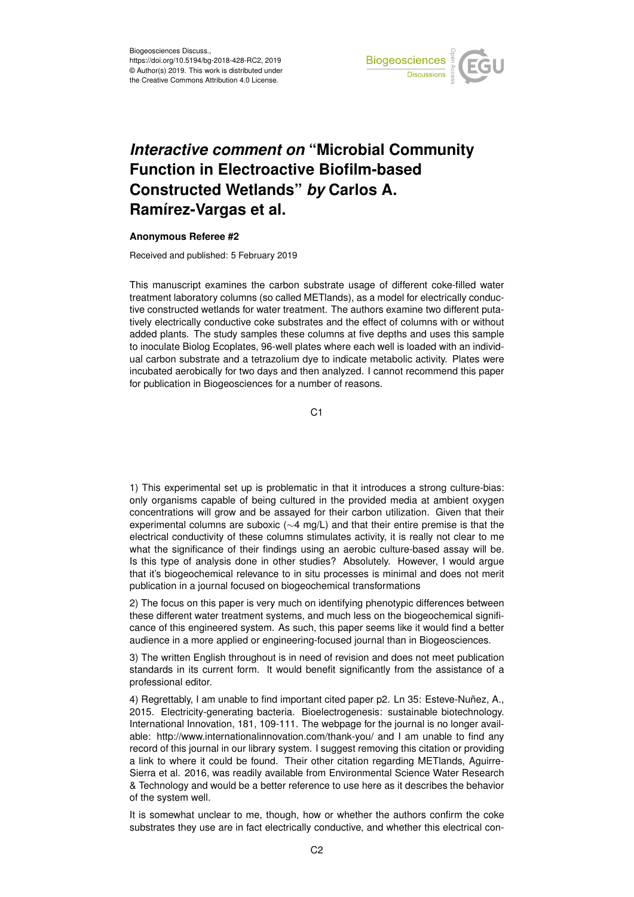

## *Interactive comment on* **"Microbial Community Function in Electroactive Biofilm-based Constructed Wetlands"** *by* **Carlos A. Ramírez-Vargas et al.**

## **Anonymous Referee #2**

Received and published: 5 February 2019

This manuscript examines the carbon substrate usage of different coke-filled water treatment laboratory columns (so called METlands), as a model for electrically conductive constructed wetlands for water treatment. The authors examine two different putatively electrically conductive coke substrates and the effect of columns with or without added plants. The study samples these columns at five depths and uses this sample to inoculate Biolog Ecoplates, 96-well plates where each well is loaded with an individual carbon substrate and a tetrazolium dye to indicate metabolic activity. Plates were incubated aerobically for two days and then analyzed. I cannot recommend this paper for publication in Biogeosciences for a number of reasons.

C<sub>1</sub>

1) This experimental set up is problematic in that it introduces a strong culture-bias: only organisms capable of being cultured in the provided media at ambient oxygen concentrations will grow and be assayed for their carbon utilization. Given that their experimental columns are suboxic (∼4 mg/L) and that their entire premise is that the electrical conductivity of these columns stimulates activity, it is really not clear to me what the significance of their findings using an aerobic culture-based assay will be. Is this type of analysis done in other studies? Absolutely. However, I would argue that it's biogeochemical relevance to in situ processes is minimal and does not merit publication in a journal focused on biogeochemical transformations

2) The focus on this paper is very much on identifying phenotypic differences between these different water treatment systems, and much less on the biogeochemical significance of this engineered system. As such, this paper seems like it would find a better audience in a more applied or engineering-focused journal than in Biogeosciences.

3) The written English throughout is in need of revision and does not meet publication standards in its current form. It would benefit significantly from the assistance of a professional editor.

4) Regrettably, I am unable to find important cited paper p2. Ln 35: Esteve-Nuñez, A., 2015. Electricity-generating bacteria. Bioelectrogenesis: sustainable biotechnology. International Innovation, 181, 109-111. The webpage for the journal is no longer available: http://www.internationalinnovation.com/thank-you/ and I am unable to find any record of this journal in our library system. I suggest removing this citation or providing a link to where it could be found. Their other citation regarding METlands, Aguirre-Sierra et al. 2016, was readily available from Environmental Science Water Research & Technology and would be a better reference to use here as it describes the behavior of the system well.

It is somewhat unclear to me, though, how or whether the authors confirm the coke substrates they use are in fact electrically conductive, and whether this electrical con